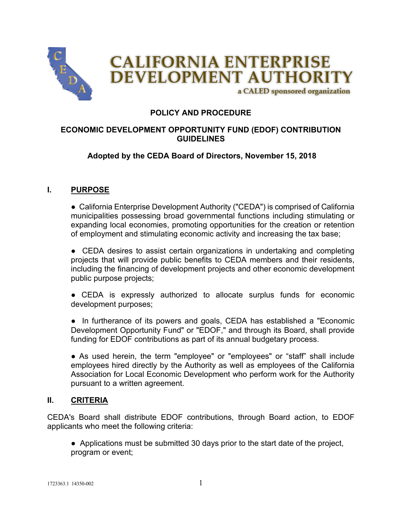

# **POLICY AND PROCEDURE**

# **ECONOMIC DEVELOPMENT OPPORTUNITY FUND (EDOF) CONTRIBUTION GUIDELINES**

## **Adopted by the CEDA Board of Directors, November 15, 2018**

#### **I. PURPOSE**

● California Enterprise Development Authority ("CEDA") is comprised of California municipalities possessing broad governmental functions including stimulating or expanding local economies, promoting opportunities for the creation or retention of employment and stimulating economic activity and increasing the tax base;

• CEDA desires to assist certain organizations in undertaking and completing projects that will provide public benefits to CEDA members and their residents, including the financing of development projects and other economic development public purpose projects;

● CEDA is expressly authorized to allocate surplus funds for economic development purposes;

• In furtherance of its powers and goals, CEDA has established a "Economic Development Opportunity Fund" or "EDOF," and through its Board, shall provide funding for EDOF contributions as part of its annual budgetary process.

● As used herein, the term "employee" or "employees" or "staff" shall include employees hired directly by the Authority as well as employees of the California Association for Local Economic Development who perform work for the Authority pursuant to a written agreement.

#### **II. CRITERIA**

CEDA's Board shall distribute EDOF contributions, through Board action, to EDOF applicants who meet the following criteria:

● Applications must be submitted 30 days prior to the start date of the project, program or event;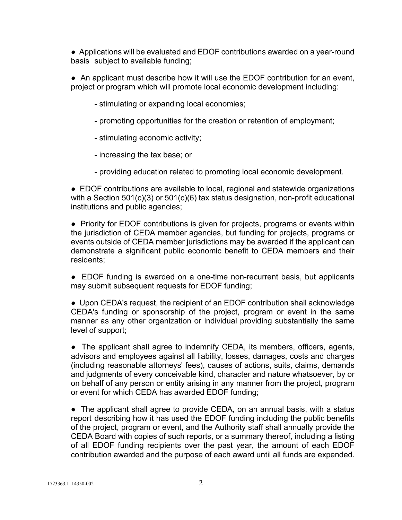● Applications will be evaluated and EDOF contributions awarded on a year-round basis subject to available funding;

● An applicant must describe how it will use the EDOF contribution for an event, project or program which will promote local economic development including:

- stimulating or expanding local economies;
- promoting opportunities for the creation or retention of employment;
- stimulating economic activity;
- increasing the tax base; or
- providing education related to promoting local economic development.

● EDOF contributions are available to local, regional and statewide organizations with a Section 501(c)(3) or 501(c)(6) tax status designation, non-profit educational institutions and public agencies;

• Priority for EDOF contributions is given for projects, programs or events within the jurisdiction of CEDA member agencies, but funding for projects, programs or events outside of CEDA member jurisdictions may be awarded if the applicant can demonstrate a significant public economic benefit to CEDA members and their residents;

• EDOF funding is awarded on a one-time non-recurrent basis, but applicants may submit subsequent requests for EDOF funding;

● Upon CEDA's request, the recipient of an EDOF contribution shall acknowledge CEDA's funding or sponsorship of the project, program or event in the same manner as any other organization or individual providing substantially the same level of support;

● The applicant shall agree to indemnify CEDA, its members, officers, agents, advisors and employees against all liability, losses, damages, costs and charges (including reasonable attorneys' fees), causes of actions, suits, claims, demands and judgments of every conceivable kind, character and nature whatsoever, by or on behalf of any person or entity arising in any manner from the project, program or event for which CEDA has awarded EDOF funding;

• The applicant shall agree to provide CEDA, on an annual basis, with a status report describing how it has used the EDOF funding including the public benefits of the project, program or event, and the Authority staff shall annually provide the CEDA Board with copies of such reports, or a summary thereof, including a listing of all EDOF funding recipients over the past year, the amount of each EDOF contribution awarded and the purpose of each award until all funds are expended.